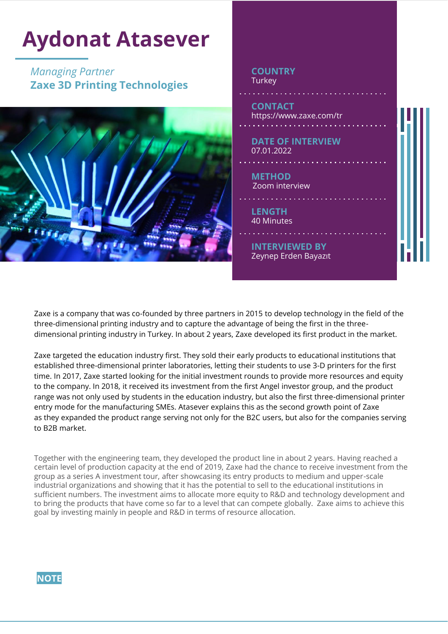

Zaxe is a company that was co-founded by three partners in 2015 to develop technology in the field of the three-dimensional printing industry and to capture the advantage of being the first in the threedimensional printing industry in Turkey. In about 2 years, Zaxe developed its first product in the market.

Zaxe targeted the education industry first. They sold their early products to educational institutions that established three-dimensional printer laboratories, letting their students to use 3-D printers for the first time. In 2017, Zaxe started looking for the initial investment rounds to provide more resources and equity to the company. In 2018, it received its investment from the first Angel investor group, and the product range was not only used by students in the education industry, but also the first three-dimensional printer entry mode for the manufacturing SMEs. Atasever explains this as the second growth point of Zaxe as they expanded the product range serving not only for the B2C users, but also for the companies serving to B2B market.

Together with the engineering team, they developed the product line in about 2 years. Having reached a certain level of production capacity at the end of 2019, Zaxe had the chance to receive investment from the group as a series A investment tour, after showcasing its entry products to medium and upper-scale industrial organizations and showing that it has the potential to sell to the educational institutions in sufficient numbers. The investment aims to allocate more equity to R&D and technology development and to bring the products that have come so far to a level that can compete globally. Zaxe aims to achieve this goal by investing mainly in people and R&D in terms of resource allocation.

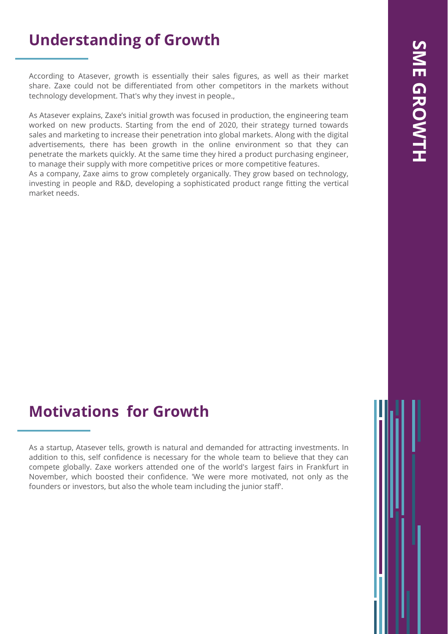## **Understanding of Growth**

According to Atasever, growth is essentially their sales figures, as well as their market share. Zaxe could not be differentiated from other competitors in the markets without technology development. That's why they invest in people.,

As Atasever explains, Zaxe's initial growth was focused in production, the engineering team worked on new products. Starting from the end of 2020, their strategy turned towards sales and marketing to increase their penetration into global markets. Along with the digital advertisements, there has been growth in the online environment so that they can penetrate the markets quickly. At the same time they hired a product purchasing engineer, to manage their supply with more competitive prices or more competitive features.

As a company, Zaxe aims to grow completely organically. They grow based on technology, investing in people and R&D, developing a sophisticated product range fitting the vertical market needs.

# SME GROWTH **SME GROWTH**

## **Motivations for Growth**

As a startup, Atasever tells, growth is natural and demanded for attracting investments. In addition to this, self confidence is necessary for the whole team to believe that they can compete globally. Zaxe workers attended one of the world's largest fairs in Frankfurt in November, which boosted their confidence. 'We were more motivated, not only as the founders or investors, but also the whole team including the junior staff'.

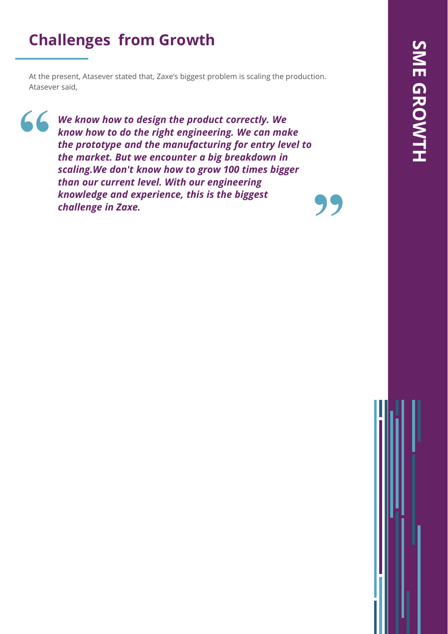## **Challenges from Growth**

At the present, Atasever stated that, Zaxe's biggest problem is scaling the production. Atasever said,

**"**

**"** *We know how to design the product correctly. We know how to do the right engineering. We can make the prototype and the manufacturing for entry level to the market. But we encounter a big breakdown in scaling.We don't know how to grow 100 times bigger than our current level. With our engineering knowledge and experience, this is the biggest challenge in Zaxe.*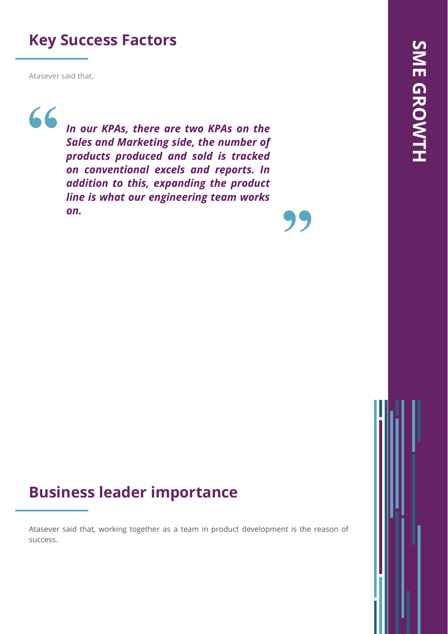## **Key Success Factors**

Atasever said that,

**"**

*In our KPAs, there are two KPAs on the Sales and Marketing side, the number of products produced and sold is tracked on conventional excels and reports. In addition to this, expanding the product line is what our engineering team works on.*

**"**

## **Business leader importance**

Atasever said that, working together as a team in product development is the reason of success.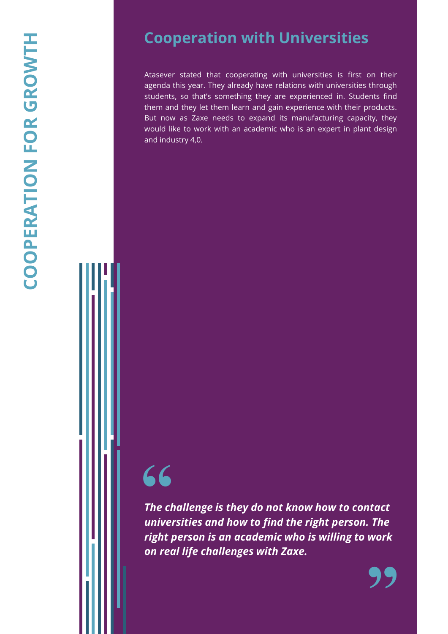Atasever stated that cooperating with universities is first on their agenda this year . They already have relations with universities through students, so that's something they are experienced in . Students find them and they let them learn and gain experience with their products . But now as Zaxe needs to expand its manufacturing capacity, they would like to work with an academic who is an expert in plant design and industry 4 , 0 .

*The challenge is they do not know how to contact universities and how to find the right person. The right person is an academic who is willing to work*  **66**<br>The challenge is they do not know<br>universities and how to find the i<br>right person is an academic who<br>on real life challenges with Zaxe.

**"**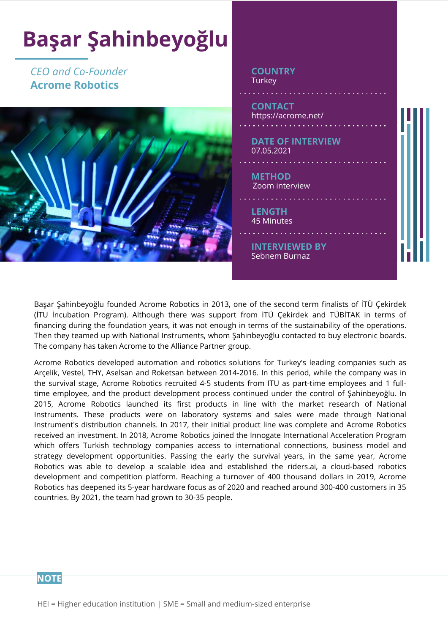

Başar Şahinbeyoğlu founded Acrome Robotics in 2013, one of the second term finalists of İTÜ Çekirdek (İTU İncubation Program). Although there was support from İTÜ Çekirdek and TÜBİTAK in terms of financing during the foundation years, it was not enough in terms of the sustainability of the operations. Then they teamed up with National Instruments, whom Şahinbeyoğlu contacted to buy electronic boards. The company has taken Acrome to the Alliance Partner group.

Acrome Robotics developed automation and robotics solutions for Turkey's leading companies such as Arçelik, Vestel, THY, Aselsan and Roketsan between 2014-2016. In this period, while the company was in the survival stage, Acrome Robotics recruited 4-5 students from ITU as part-time employees and 1 fulltime employee, and the product development process continued under the control of Şahinbeyoğlu. In 2015, Acrome Robotics launched its first products in line with the market research of National Instruments. These products were on laboratory systems and sales were made through National Instrument's distribution channels. In 2017, their initial product line was complete and Acrome Robotics received an investment. In 2018, Acrome Robotics joined the Innogate International Acceleration Program which offers Turkish technology companies access to international connections, business model and strategy development opportunities. Passing the early the survival years, in the same year, Acrome Robotics was able to develop a scalable idea and established the riders.ai, a cloud-based robotics development and competition platform. Reaching a turnover of 400 thousand dollars in 2019, Acrome Robotics has deepened its 5-year hardware focus as of 2020 and reached around 300-400 customers in 35 countries. By 2021, the team had grown to 30-35 people.

#### **NOTE**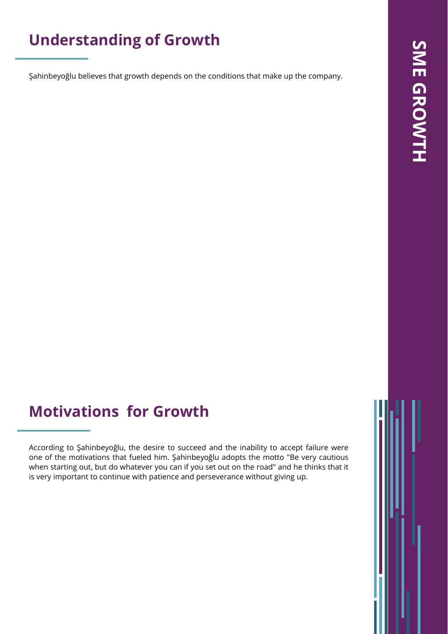## **Understanding of Growth**

Şahinbeyoğlu believes that growth depends on the conditions that make up the company.

## **Motivations for Growth**

According to Şahinbeyoğlu, the desire to succeed and the inability to accept failure were one of the motivations that fueled him. Şahinbeyoğlu adopts the motto "Be very cautious when starting out, but do whatever you can if you set out on the road" and he thinks that it is very important to continue with patience and perseverance without giving up.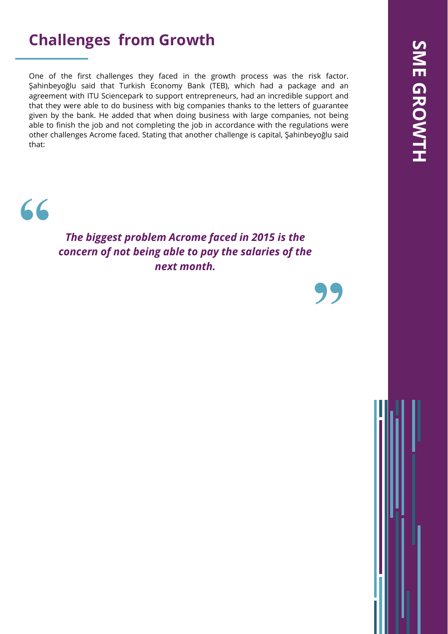## **Challenges from Growth**

One of the first challenges they faced in the growth process was the risk factor. Şahinbeyoğlu said that Turkish Economy Bank (TEB), which had a package and an agreement with ITU Sciencepark to support entrepreneurs, had an incredible support and that they were able to do business with big companies thanks to the letters of guarantee given by the bank. He added that when doing business with large companies, not being able to finish the job and not completing the job in accordance with the regulations were other challenges Acrome faced. Stating that another challenge is capital, Şahinbeyoğlu said that:

## **"**

*The biggest problem Acrome faced in 2015 is the concern of not being able to pay the salaries of the next month.*

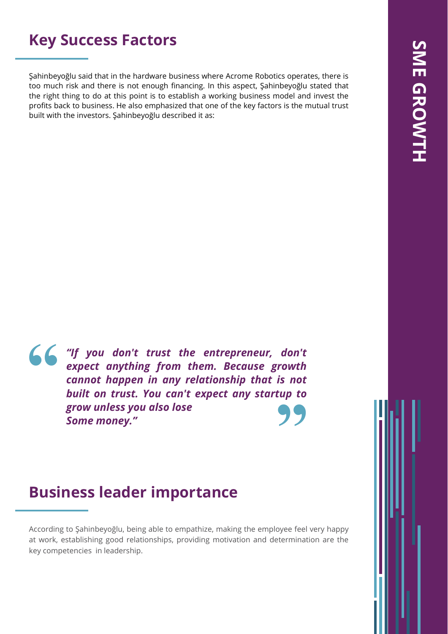## **Key Success Factors**

Şahinbeyoğlu said that in the hardware business where Acrome Robotics operates, there is too much risk and there is not enough financing. In this aspect, Şahinbeyoğlu stated that the right thing to do at this point is to establish a working business model and invest the profits back to business. He also emphasized that one of the key factors is the mutual trust built with the investors. Şahinbeyoğlu described it as:

**"** *"If you don't trust the entrepreneur, don't expect anything from them. Because growth cannot happen in any relationship that is not built on trust. You can't expect any startup to grow unless you also lose Some money."* **"**

## **Business leader importance**

According to Şahinbeyoğlu, being able to empathize, making the employee feel very happy at work, establishing good relationships, providing motivation and determination are the key competencies in leadership.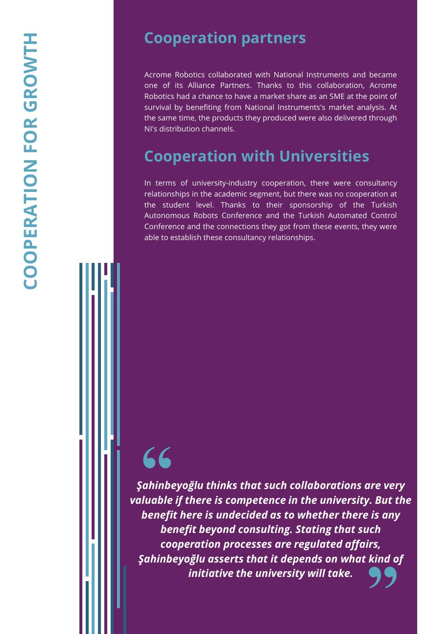### **Cooperation partners**

Acrome Robotics collaborated with National Instruments and became one of its Alliance Partners . Thanks to this collaboration, Acrome Robotics had a chance to have a market share as an SME at the point of survival by benefiting from National Instruments's market analysis . At the same time, the products they produced were also delivered through NI's distribution channels .

## **Cooperation with Universities**

In terms of university-industry cooperation, there were consultancy relationships in the academic segment, but there was no cooperation at the student level . Thanks to their sponsorship of the Turkish Autonomous Robots Conference and the Turkish Automated Control Conference and the connections they got from these events , they were able to establish these consultancy relationships .

## **"**

**99** *Şahinbeyoğlu thinks that such collaborations are very valuable if there is competence in the university. But the benefit here is undecided as to whether there is any benefit beyond consulting. Stating that such cooperation processes are regulated affairs, Şahinbeyoğlu asserts that it depends on what kind of initiative the university will take.*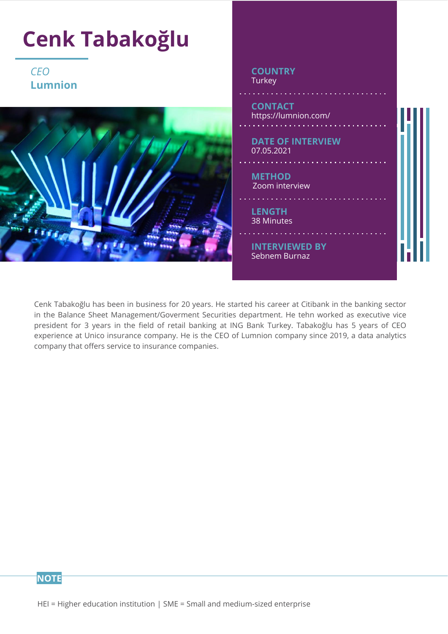

Cenk Tabakoğlu has been in business for 20 years. He started his career at Citibank in the banking sector in the Balance Sheet Management/Goverment Securities department. He tehn worked as executive vice president for 3 years in the field of retail banking at ING Bank Turkey. Tabakoğlu has 5 years of CEO experience at Unico insurance company. He is the CEO of Lumnion company since 2019, a data analytics company that offers service to insurance companies.

**NOTE**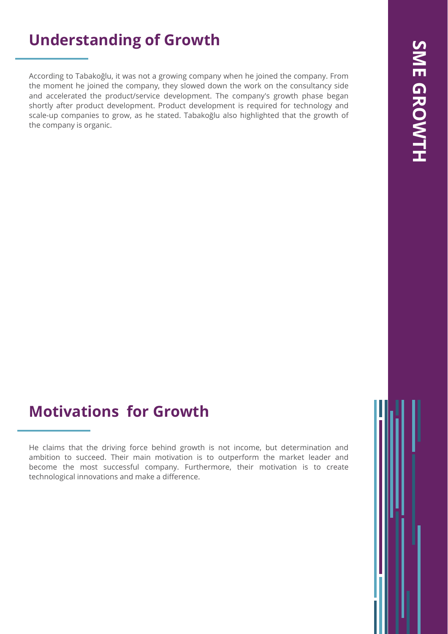## **Understanding of Growth**

According to Tabakoğlu, it was not a growing company when he joined the company. From the moment he joined the company, they slowed down the work on the consultancy side and accelerated the product/service development. The company's growth phase began shortly after product development. Product development is required for technology and scale-up companies to grow, as he stated. Tabakoğlu also highlighted that the growth of the company is organic.

## **Motivations for Growth**

He claims that the driving force behind growth is not income, but determination and ambition to succeed. Their main motivation is to outperform the market leader and become the most successful company. Furthermore, their motivation is to create technological innovations and make a difference.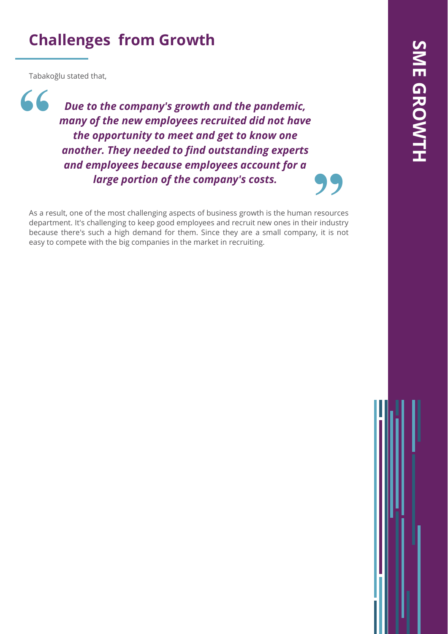## **Challenges from Growth**

Tabakoğlu stated that,

*Due to the company's growth and the pandemic, many of the new employees recruited did not have the opportunity to meet and get to know one another. They needed to find outstanding experts and employees because employees account for a large portion of the company's costs.* **"**

**Example 19 Secures Secures and Employees account for a**<br> **Solution of the company's costs.**<br>
As a result, one of the most challenging aspects of business growth is the human resources<br>
department. It's challenging to keep As a result, one of the most challenging aspects of business growth is the human resources because there's such a high demand for them. Since they are a small company, it is not easy to compete with the big companies in the market in recruiting.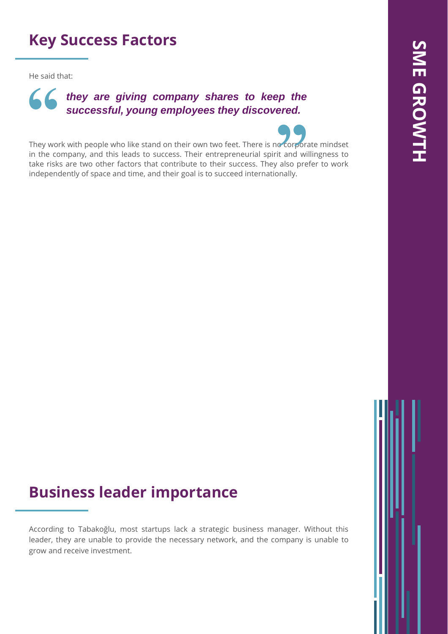## **Key Success Factors**

He said that:

# *they are giving company shares to keep the* **6 6 they are giving company shares to keep the successful, young employees they discovered.**

They work with people who like stand on their own two feet. There is no corporate mindset in the company, and this leads to success. Their entrepreneurial spirit and willingness to take risks are two other factors that contribute to their success. They also prefer to work independently of space and time, and their goal is to succeed internationally. **Proposed**<br>
it and with<br>
proposed pressure on ally.

## **Business leader importance**

According to Tabakoğlu, most startups lack a strategic business manager. Without this leader, they are unable to provide the necessary network, and the company is unable to grow and receive investment.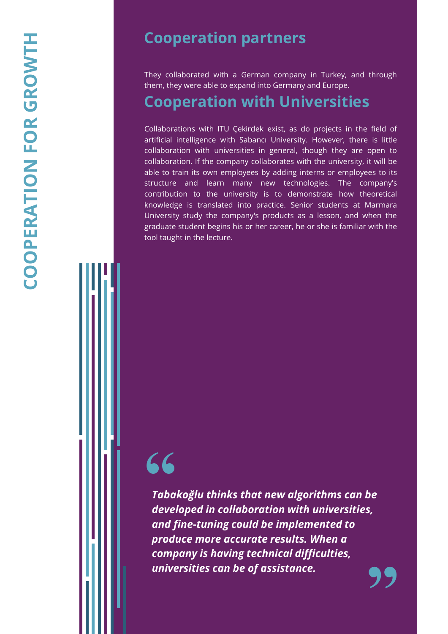## **Cooperation partners**

They collaborated with a German company in Turkey, and through them, they were able to expand into Germany and Europe .

### **Cooperation with Universities**

Collaborations with ITU Çekirdek exist, as do projects in the field of artificial intelligence with Sabancı University . However, there is little collaboration with universities in general, though they are open to collaboration . If the company collaborates with the university, it will be able to train its own employees by adding interns or employees to its structure and learn many new technologies . The company's contribution to the university is to demonstrate how theoretical knowledge is translated into practice . Senior students at Marmara University study the company's products as a lesson, and when the graduate student begins his or her career, he or she is familiar with the tool taught in the lecture .

# **"**

**"** *Tabakoğlu thinks that new algorithms can be developed in collaboration with universities, and fine -tuning could be implemented to produce more accurate results. When a company is having technical difficulties, universities can be of assistance.*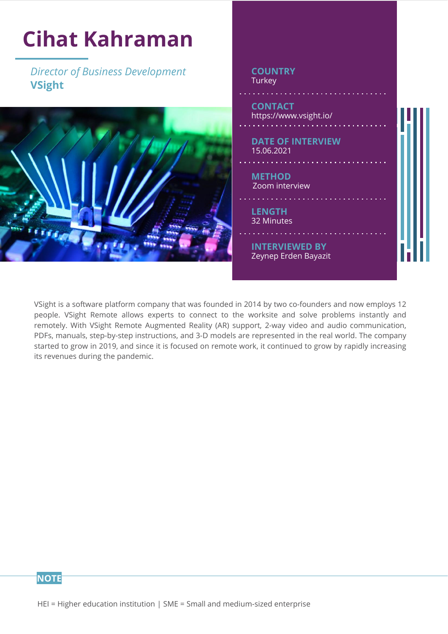

VSight is a software platform company that was founded in 2014 by two co-founders and now employs 12 people. VSight Remote allows experts to connect to the worksite and solve problems instantly and remotely. With VSight Remote Augmented Reality (AR) support, 2-way video and audio communication, PDFs, manuals, step-by-step instructions, and 3-D models are represented in the real world. The company started to grow in 2019, and since it is focused on remote work, it continued to grow by rapidly increasing its revenues during the pandemic.

**NOTE**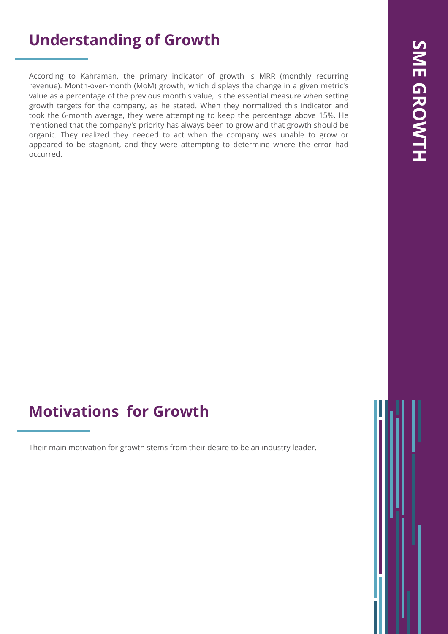## **Understanding of Growth**

According to Kahraman, the primary indicator of growth is MRR (monthly recurring revenue). Month-over-month (MoM) growth, which displays the change in a given metric's value as a percentage of the previous month's value, is the essential measure when setting growth targets for the company, as he stated. When they normalized this indicator and took the 6-month average, they were attempting to keep the percentage above 15%. He mentioned that the company's priority has always been to grow and that growth should be organic. They realized they needed to act when the company was unable to grow or appeared to be stagnant, and they were attempting to determine where the error had occurred.

## **Motivations for Growth**

Their main motivation for growth stems from their desire to be an industry leader.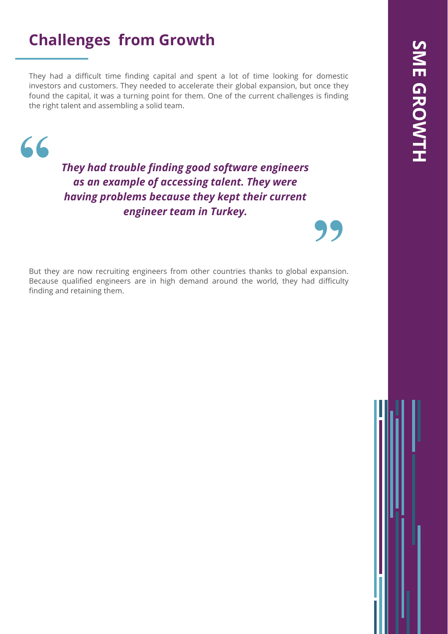## **Challenges from Growth**

They had a difficult time finding capital and spent a lot of time looking for domestic investors and customers. They needed to accelerate their global expansion, but once they found the capital, it was a turning point for them. One of the current challenges is finding the right talent and assembling a solid team.



*They had trouble finding good software engineers as an example of accessing talent. They were having problems because they kept their current engineer team in Turkey.*

**Engineer team in Turkey.**<br>
But they are now recruiting engineers from other countries thanks to global expansion. Because qualified engineers are in high demand around the world, they had difficulty finding and retaining them.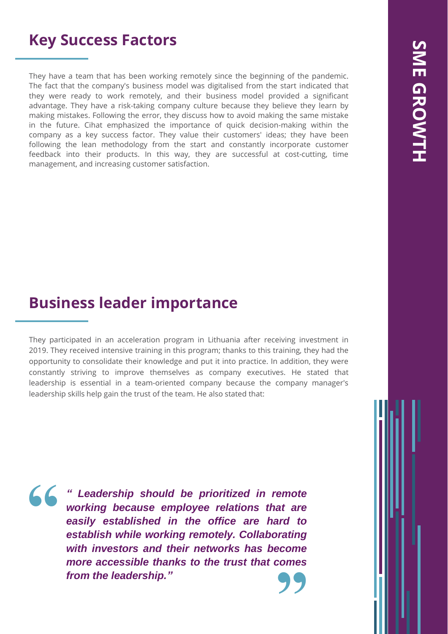## **Key Success Factors**

They have a team that has been working remotely since the beginning of the pandemic. The fact that the company's business model was digitalised from the start indicated that they were ready to work remotely, and their business model provided a significant advantage. They have a risk-taking company culture because they believe they learn by making mistakes. Following the error, they discuss how to avoid making the same mistake in the future. Cihat emphasized the importance of quick decision-making within the company as a key success factor. They value their customers' ideas; they have been following the lean methodology from the start and constantly incorporate customer feedback into their products. In this way, they are successful at cost-cutting, time management, and increasing customer satisfaction.

## **Business leader importance**

They participated in an acceleration program in Lithuania after receiving investment in 2019. They received intensive training in this program; thanks to this training, they had the opportunity to consolidate their knowledge and put it into practice. In addition, they were constantly striving to improve themselves as company executives. He stated that leadership is essential in a team-oriented company because the company manager's leadership skills help gain the trust of the team. He also stated that:

**"**

**"** *" Leadership should be prioritized in remote working because employee relations that are easily established in the office are hard to establish while working remotely. Collaborating with investors and their networks has become more accessible thanks to the trust that comes from the leadership."*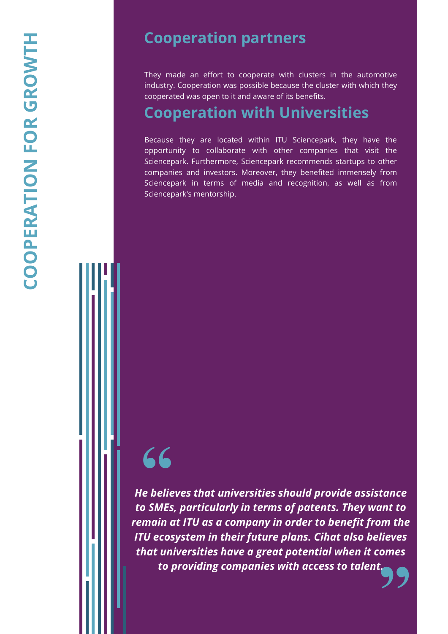### **Cooperation partners**

They made an effort to cooperate with clusters in the automotive industry . Cooperation was possible because the cluster with which they cooperated was open to it and aware of its benefits .

## **Cooperation with Universities**

Because they are located within ITU Sciencepark , they have the opportunity to collaborate with other companies that visit the Sciencepark . Furthermore, Sciencepark recommends startups to other companies and investors . Moreover, they benefited immensely from Sciencepark in terms of media and recognition, as well as from Sciencepark's mentorship .

**"** *He believes that universities should provide assistance to SMEs, particularly in terms of patents. They want to remain at ITU as a company in order to benefit from the ITU ecosystem in their future plans. Cihat also believes that universities have a great potential when it comes*  **66**<br>*to believes that universities should provide assist*<br>*to SMEs, particularly in terms of patents. They wald main at ITU as a company in order to benefit froumain at ITU as a company in order to benefit froumain at ITU*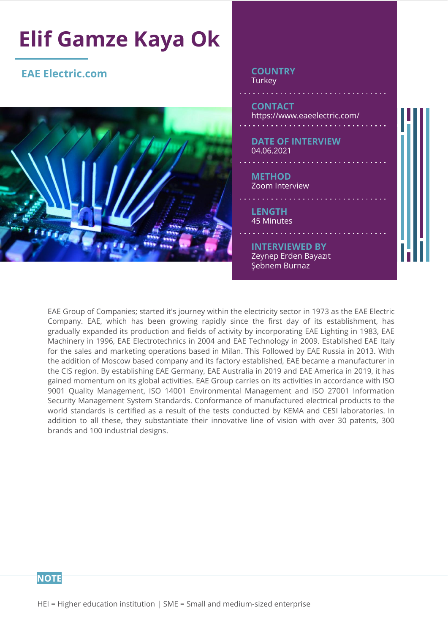

EAE Group of Companies; started it's journey within the electricity sector in 1973 as the EAE Electric Company. EAE, which has been growing rapidly since the first day of its establishment, has gradually expanded its production and fields of activity by incorporating EAE Lighting in 1983, EAE Machinery in 1996, EAE Electrotechnics in 2004 and EAE Technology in 2009. Established EAE Italy for the sales and marketing operations based in Milan. This Followed by EAE Russia in 2013. With the addition of Moscow based company and its factory established, EAE became a manufacturer in the CIS region. By establishing EAE Germany, EAE Australia in 2019 and EAE America in 2019, it has gained momentum on its global activities. EAE Group carries on its activities in accordance with ISO 9001 Quality Management, ISO 14001 Environmental Management and ISO 27001 Information Security Management System Standards. Conformance of manufactured electrical products to the world standards is certified as a result of the tests conducted by KEMA and CESI laboratories. In addition to all these, they substantiate their innovative line of vision with over 30 patents, 300 brands and 100 industrial designs.

#### **NOTE**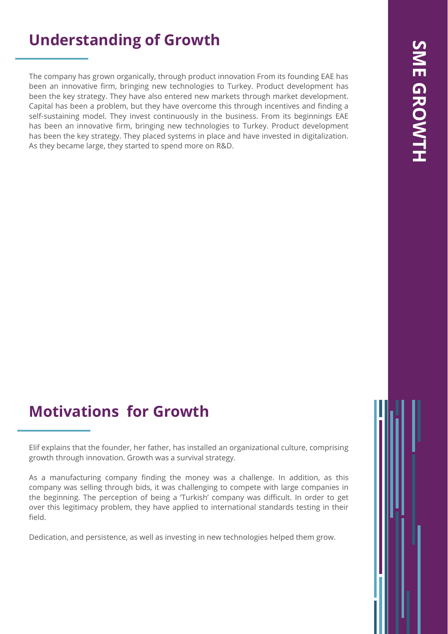## **Understanding of Growth**

The company has grown organically, through product innovation From its founding EAE has been an innovative firm, bringing new technologies to Turkey. Product development has been the key strategy. They have also entered new markets through market development. Capital has been a problem, but they have overcome this through incentives and finding a self-sustaining model. They invest continuously in the business. From its beginnings EAE has been an innovative firm, bringing new technologies to Turkey. Product development has been the key strategy. They placed systems in place and have invested in digitalization. As they became large, they started to spend more on R&D.

## **Motivations for Growth**

Dedication, and persistence, as well as investing in new technologies helped them grow.

Elif explains that the founder, her father, has installed an organizational culture, comprising growth through innovation. Growth was a survival strategy.

As a manufacturing company finding the money was a challenge. In addition, as this company was selling through bids, it was challenging to compete with large companies in the beginning. The perception of being a 'Turkish' company was difficult. In order to get over this legitimacy problem, they have applied to international standards testing in their field.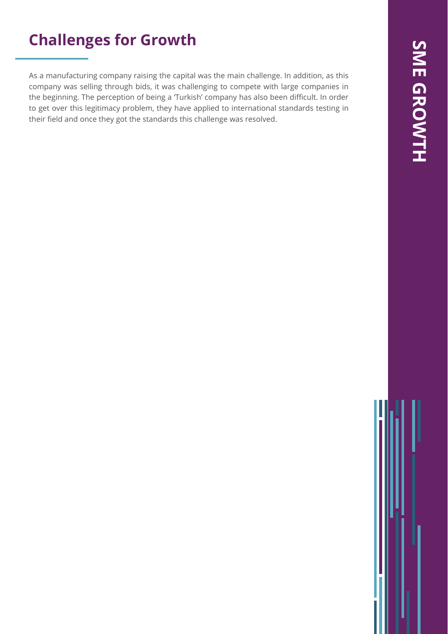## **Challenges for Growth**

As a manufacturing company raising the capital was the main challenge. In addition, as this company was selling through bids, it was challenging to compete with large companies in the beginning. The perception of being a 'Turkish' company has also been difficult. In order to get over this legitimacy problem, they have applied to international standards testing in their field and once they got the standards this challenge was resolved.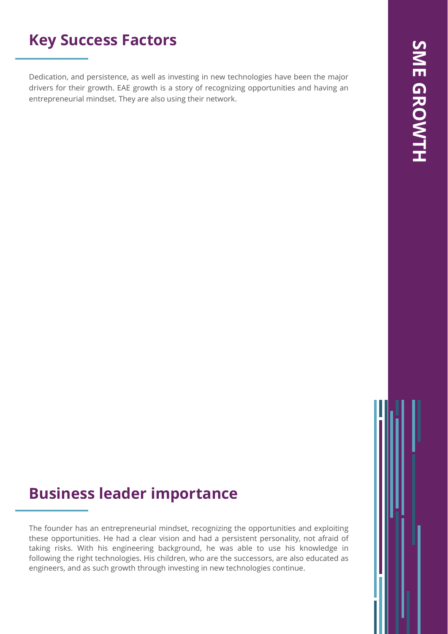## **Key Success Factors**

Dedication, and persistence, as well as investing in new technologies have been the major drivers for their growth. EAE growth is a story of recognizing opportunities and having an entrepreneurial mindset. They are also using their network.

## **Business leader importance**

The founder has an entrepreneurial mindset, recognizing the opportunities and exploiting these opportunities. He had a clear vision and had a persistent personality, not afraid of taking risks. With his engineering background, he was able to use his knowledge in following the right technologies. His children, who are the successors, are also educated as engineers, and as such growth through investing in new technologies continue.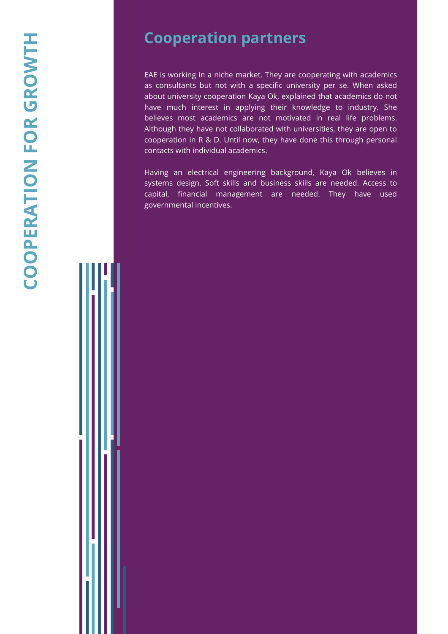## **Cooperation partners**

EAE is working in a niche market. They are cooperating with academics as consultants but not with a specific university per se. When asked about university cooperation Kaya Ok, explained that academics do not have much interest in applying their knowledge to industry. She believes most academics are not motivated in real life problems. Although they have not collaborated with universities, they are open to cooperation in R & D. Until now, they have done this through personal contacts with individual academics.

Having an electrical engineering background, Kaya Ok believes in systems design. Soft skills and business skills are needed. Access to capital, financial management are needed. They have used governmental incentives.

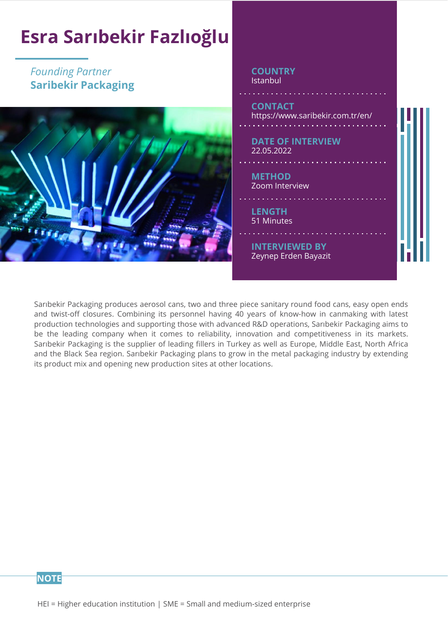

Sarıbekir Packaging produces aerosol cans, two and three piece sanitary round food cans, easy open ends and twist-off closures. Combining its personnel having 40 years of know-how in canmaking with latest production technologies and supporting those with advanced R&D operations, Sarıbekir Packaging aims to be the leading company when it comes to reliability, innovation and competitiveness in its markets. Sarıbekir Packaging is the supplier of leading fillers in Turkey as well as Europe, Middle East, North Africa and the Black Sea region. Sarıbekir Packaging plans to grow in the metal packaging industry by extending its product mix and opening new production sites at other locations.

#### **NOTE**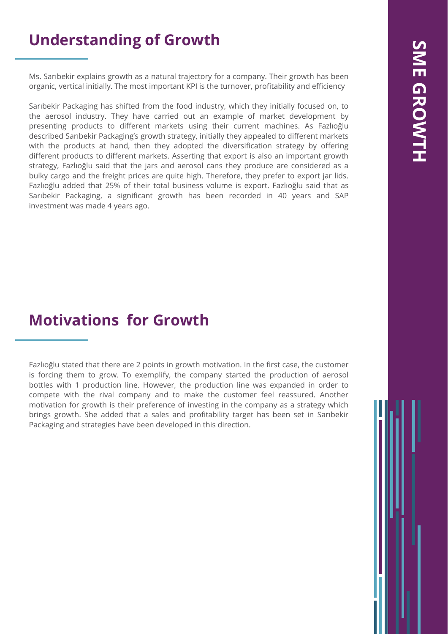# SME GROWTH **SME GROWTH**

## **Understanding of Growth**

Ms. Sarıbekir explains growth as a natural trajectory for a company. Their growth has been organic, vertical initially. The most important KPI is the turnover, profitability and efficiency

Sarıbekir Packaging has shifted from the food industry, which they initially focused on, to the aerosol industry. They have carried out an example of market development by presenting products to different markets using their current machines. As Fazlıoğlu described Sarıbekir Packaging's growth strategy, initially they appealed to different markets with the products at hand, then they adopted the diversification strategy by offering different products to different markets. Asserting that export is also an important growth strategy, Fazlıoğlu said that the jars and aerosol cans they produce are considered as a bulky cargo and the freight prices are quite high. Therefore, they prefer to export jar lids. Fazlıoğlu added that 25% of their total business volume is export. Fazlıoğlu said that as Sarıbekir Packaging, a significant growth has been recorded in 40 years and SAP investment was made 4 years ago.

## **Motivations for Growth**

Fazlıoğlu stated that there are 2 points in growth motivation. In the first case, the customer is forcing them to grow. To exemplify, the company started the production of aerosol bottles with 1 production line. However, the production line was expanded in order to compete with the rival company and to make the customer feel reassured. Another motivation for growth is their preference of investing in the company as a strategy which brings growth. She added that a sales and profitability target has been set in Sarıbekir Packaging and strategies have been developed in this direction.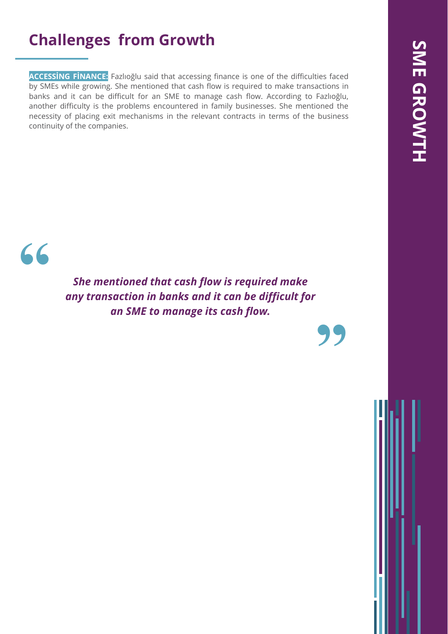## **Challenges from Growth**

**ACCESSİNG FİNANCE:** Fazlıoğlu said that accessing finance is one of the difficulties faced by SMEs while growing. She mentioned that cash flow is required to make transactions in banks and it can be difficult for an SME to manage cash flow. According to Fazlıoğlu, another difficulty is the problems encountered in family businesses. She mentioned the necessity of placing exit mechanisms in the relevant contracts in terms of the business continuity of the companies.



*She mentioned that cash flow is required make any transaction in banks and it can be difficult for an SME to manage its cash flow.*

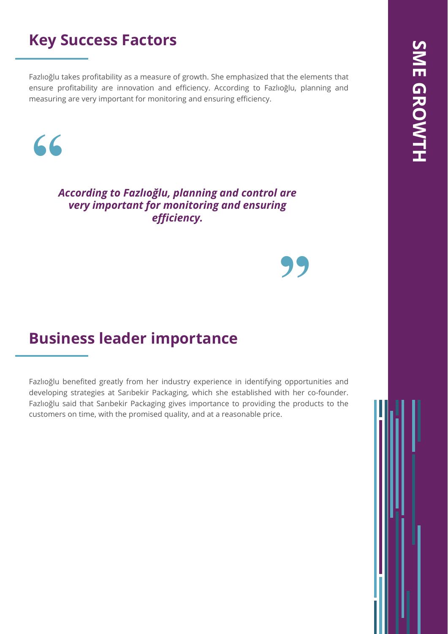## **Key Success Factors**

Fazlıoğlu takes profitability as a measure of growth. She emphasized that the elements that ensure profitability are innovation and efficiency. According to Fazlıoğlu, planning and measuring are very important for monitoring and ensuring efficiency.



*According to Fazlıoğlu, planning and control are very important for monitoring and ensuring efficiency.*

# **"**

## **Business leader importance**

Fazlıoğlu benefited greatly from her industry experience in identifying opportunities and developing strategies at Sarıbekir Packaging, which she established with her co-founder. Fazlıoğlu said that Sarıbekir Packaging gives importance to providing the products to the customers on time, with the promised quality, and at a reasonable price.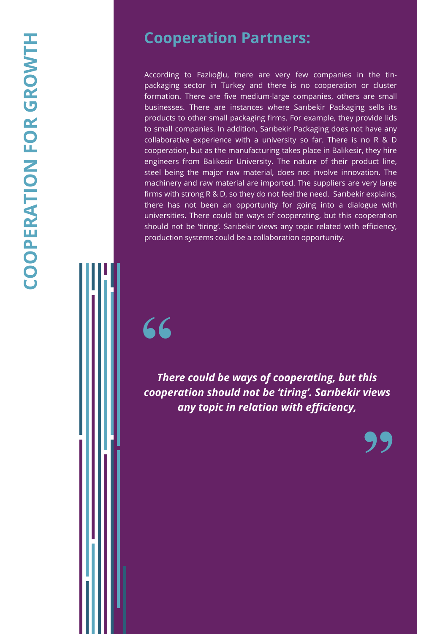According to Fazlıoğlu, there are very few companies in the tinpackaging sector in Turkey and there is no cooperation or cluster formation. There are five medium-large companies, others are small businesses. There are instances where Sarıbekir Packaging sells its products to other small packaging firms. For example, they provide lids to small companies. In addition, Sarıbekir Packaging does not have any collaborative experience with a university so far. There is no R & D cooperation, but as the manufacturing takes place in Balıkesir, they hire engineers from Balıkesir University. The nature of their product line, steel being the major raw material, does not involve innovation. The machinery and raw material are imported. The suppliers are very large firms with strong R & D, so they do not feel the need. Sarıbekir explains, there has not been an opportunity for going into a dialogue with universities. There could be ways of cooperating, but this cooperation should not be 'tiring'. Sarıbekir views any topic related with efficiency, production systems could be a collaboration opportunity.

# **"**

*There could be ways of cooperating, but this cooperation should not be 'tiring'. Sarıbekir views any topic in relation with efficiency,*

**"**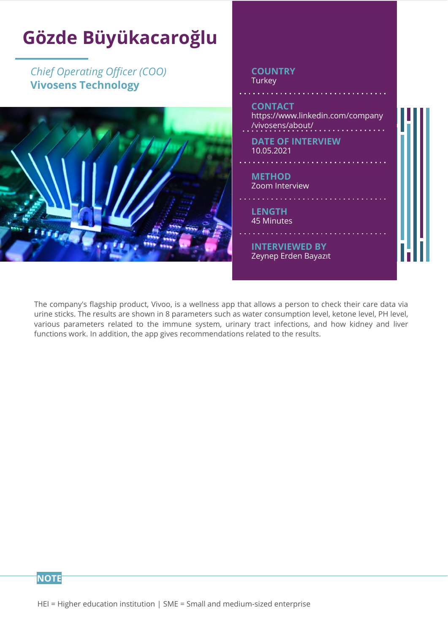

The company's flagship product, Vivoo, is a wellness app that allows a person to check their care data via urine sticks. The results are shown in 8 parameters such as water consumption level, ketone level, PH level, various parameters related to the immune system, urinary tract infections, and how kidney and liver functions work. In addition, the app gives recommendations related to the results.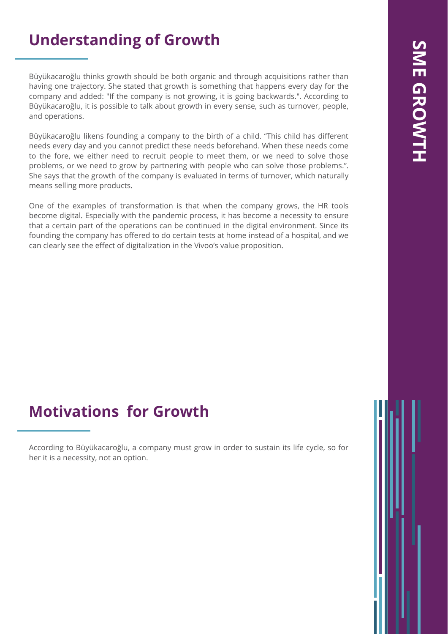## **Understanding of Growth**

Büyükacaroğlu thinks growth should be both organic and through acquisitions rather than having one trajectory. She stated that growth is something that happens every day for the company and added: "If the company is not growing, it is going backwards.". According to Büyükacaroğlu, it is possible to talk about growth in every sense, such as turnover, people, and operations.

Büyükacaroğlu likens founding a company to the birth of a child. "This child has different needs every day and you cannot predict these needs beforehand. When these needs come to the fore, we either need to recruit people to meet them, or we need to solve those problems, or we need to grow by partnering with people who can solve those problems.". She says that the growth of the company is evaluated in terms of turnover, which naturally means selling more products.

One of the examples of transformation is that when the company grows, the HR tools become digital. Especially with the pandemic process, it has become a necessity to ensure that a certain part of the operations can be continued in the digital environment. Since its founding the company has offered to do certain tests at home instead of a hospital, and we can clearly see the effect of digitalization in the Vivoo's value proposition.

## **Motivations for Growth**

According to Büyükacaroğlu, a company must grow in order to sustain its life cycle, so for her it is a necessity, not an option.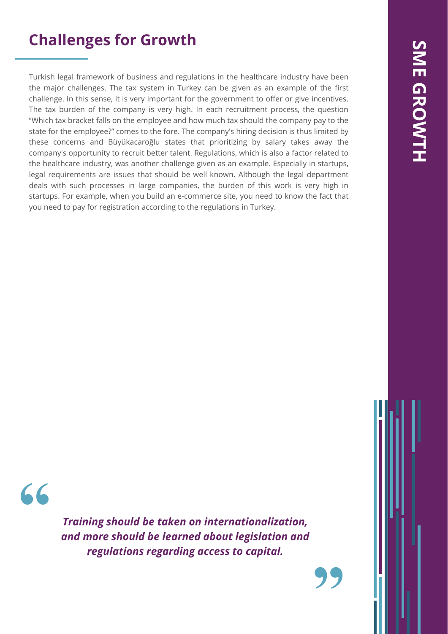## **Challenges for Growth**

Turkish legal framework of business and regulations in the healthcare industry have been the major challenges. The tax system in Turkey can be given as an example of the first challenge. In this sense, it is very important for the government to offer or give incentives. The tax burden of the company is very high. In each recruitment process, the question "Which tax bracket falls on the employee and how much tax should the company pay to the state for the employee?" comes to the fore. The company's hiring decision is thus limited by these concerns and Büyükacaroğlu states that prioritizing by salary takes away the company's opportunity to recruit better talent. Regulations, which is also a factor related to the healthcare industry, was another challenge given as an example. Especially in startups, legal requirements are issues that should be well known. Although the legal department deals with such processes in large companies, the burden of this work is very high in startups. For example, when you build an e-commerce site, you need to know the fact that you need to pay for registration according to the regulations in Turkey.

**"**

*Training should be taken on internationalization, and more should be learned about legislation and regulations regarding access to capital.*

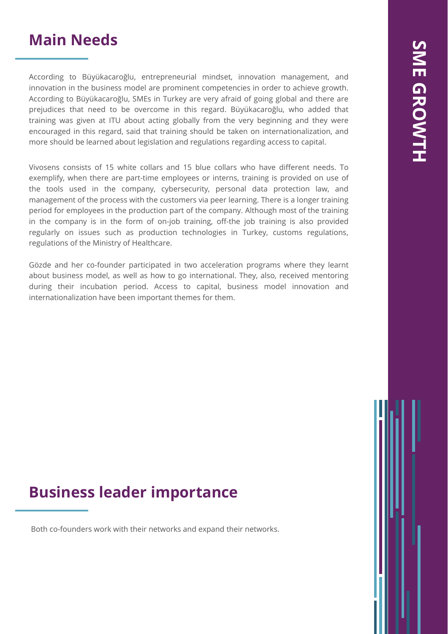## **Main Needs**

According to Büyükacaroğlu, entrepreneurial mindset, innovation management, and innovation in the business model are prominent competencies in order to achieve growth. According to Büyükacaroğlu, SMEs in Turkey are very afraid of going global and there are prejudices that need to be overcome in this regard. Büyükacaroğlu, who added that training was given at ITU about acting globally from the very beginning and they were encouraged in this regard, said that training should be taken on internationalization, and more should be learned about legislation and regulations regarding access to capital.

Vivosens consists of 15 white collars and 15 blue collars who have different needs. To exemplify, when there are part-time employees or interns, training is provided on use of the tools used in the company, cybersecurity, personal data protection law, and management of the process with the customers via peer learning. There is a longer training period for employees in the production part of the company. Although most of the training in the company is in the form of on-job training, off-the job training is also provided regularly on issues such as production technologies in Turkey, customs regulations, regulations of the Ministry of Healthcare.

Gözde and her co-founder participated in two acceleration programs where they learnt about business model, as well as how to go international. They, also, received mentoring during their incubation period. Access to capital, business model innovation and internationalization have been important themes for them.

## **Business leader importance**

Both co-founders work with their networks and expand their networks.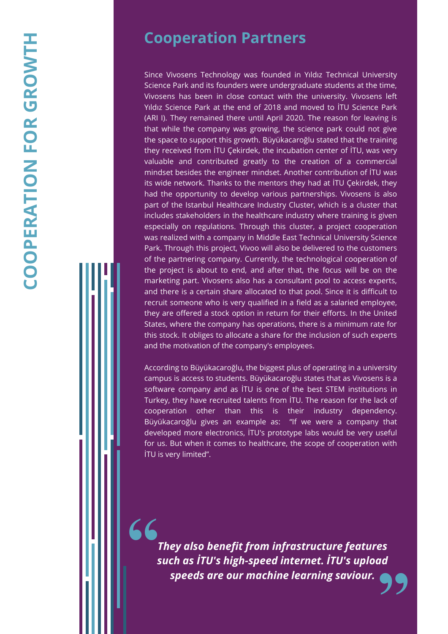## **Cooperation Partners**

Since Vivosens Technology was founded in Yıldız Technical University Science Park and its founders were undergraduate students at the time, Vivosens has been in close contact with the university . Vivosens left Yıldız Science Park at the end of 2018 and moved to İTU Science Park (ARI I) . They remained there until April 2020 . The reason for leaving is that while the company was growing, the science park could not give the space to support this growth . Büyükacaroğlu stated that the training they received from İTU Çekirdek, the incubation center of İTU, was very valuable and contributed greatly to the creation of a commercial mindset besides the engineer mindset . Another contribution of İTU was its wide network . Thanks to the mentors they had at İTU Çekirdek , they had the opportunity to develop various partnerships . Vivosens is also part of the Istanbul Healthcare Industry Cluster, which is a cluster that includes stakeholders in the healthcare industry where training is given especially on regulations . Through this cluster, a project cooperation was realized with a company in Middle East Technical University Science Park . Through this project, Vivoo will also be delivered to the customers of the partnering company . Currently, the technological cooperation of the project is about to end, and after that, the focus will be on the marketing part . Vivosens also has a consultant pool to access experts, and there is a certain share allocated to that pool . Since it is difficult to recruit someone who is very qualified in a field as a salaried employee, they are offered a stock option in return for their efforts . In the United States, where the company has operations, there is a minimum rate for this stock . It obliges to allocate a share for the inclusion of such experts and the motivation of the company's employees .

According to Büyükacaroğlu , the biggest plus of operating in a university campus is access to students . Büyükacaroğlu states that as Vivosens is a software company and as İTU is one of the best STEM institutions in Turkey, they have recruited talents from İTU . The reason for the lack of cooperation other than this is their industry dependency. Büyükacaroğlu gives an example as : "If we were a company that developed more electronics, İTU's prototype labs would be very useful for us . But when it comes to healthcare, the scope of cooperation with İTU is very limited" .

**"** *They also benefit from infrastructure features such as İTU's high -speed internet. İTU's upload speeds are our machine learning saviour.*

**"**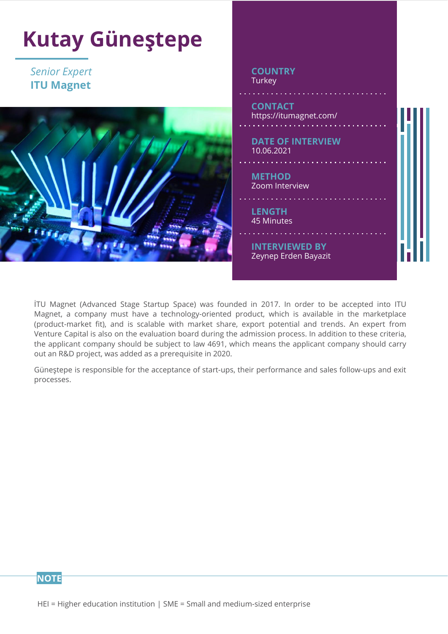

İTU Magnet (Advanced Stage Startup Space) was founded in 2017. In order to be accepted into ITU Magnet, a company must have a technology-oriented product, which is available in the marketplace (product-market fit), and is scalable with market share, export potential and trends. An expert from Venture Capital is also on the evaluation board during the admission process. In addition to these criteria, the applicant company should be subject to law 4691, which means the applicant company should carry out an R&D project, was added as a prerequisite in 2020.

Güneştepe is responsible for the acceptance of start-ups, their performance and sales follow-ups and exit processes.

**NOTE**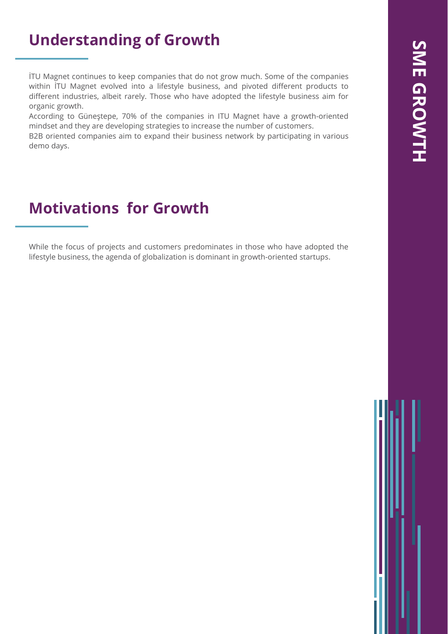## **Understanding of Growth**

İTU Magnet continues to keep companies that do not grow much. Some of the companies within İTU Magnet evolved into a lifestyle business, and pivoted different products to different industries, albeit rarely. Those who have adopted the lifestyle business aim for organic growth.

According to Güneştepe, 70% of the companies in ITU Magnet have a growth-oriented mindset and they are developing strategies to increase the number of customers.

B2B oriented companies aim to expand their business network by participating in various demo days.

## **Motivations for Growth**

While the focus of projects and customers predominates in those who have adopted the lifestyle business, the agenda of globalization is dominant in growth-oriented startups.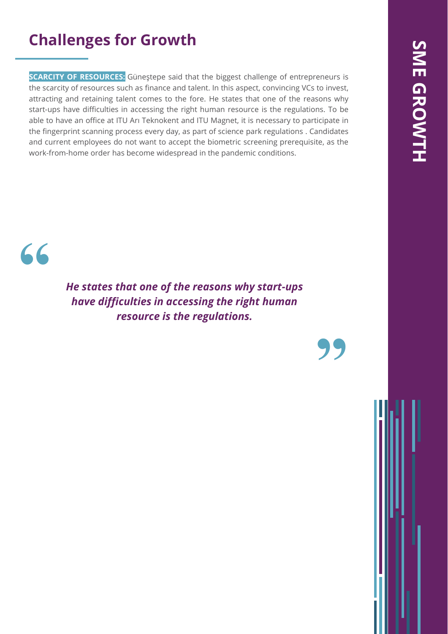## **Challenges for Growth**

**SCARCITY OF RESOURCES:** Güneștepe said that the biggest challenge of entrepreneurs is the scarcity of resources such as finance and talent. In this aspect, convincing VCs to invest, attracting and retaining talent comes to the fore. He states that one of the reasons why start-ups have difficulties in accessing the right human resource is the regulations. To be able to have an office at ITU Arı Teknokent and ITU Magnet, it is necessary to participate in the fingerprint scanning process every day, as part of science park regulations . Candidates and current employees do not want to accept the biometric screening prerequisite, as the work-from-home order has become widespread in the pandemic conditions.



*He states that one of the reasons why start-ups have difficulties in accessing the right human resource is the regulations.*

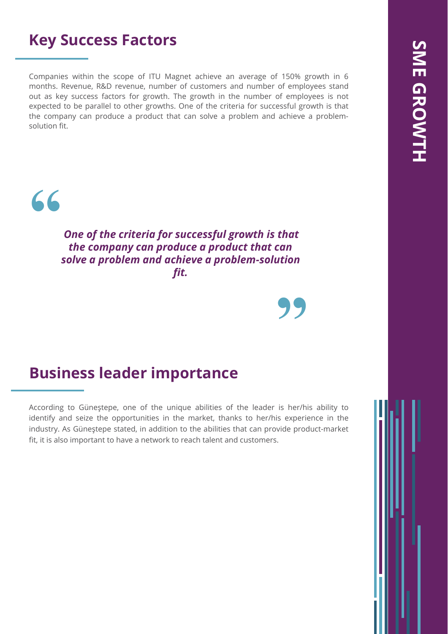## **Key Success Factors**

Companies within the scope of ITU Magnet achieve an average of 150% growth in 6 months. Revenue, R&D revenue, number of customers and number of employees stand out as key success factors for growth. The growth in the number of employees is not expected to be parallel to other growths. One of the criteria for successful growth is that the company can produce a product that can solve a problem and achieve a problemsolution fit.



*One of the criteria for successful growth is that the company can produce a product that can solve a problem and achieve a problem-solution fit.*

**"**

## **Business leader importance**

According to Güneştepe, one of the unique abilities of the leader is her/his ability to identify and seize the opportunities in the market, thanks to her/his experience in the industry. As Güneştepe stated, in addition to the abilities that can provide product-market fit, it is also important to have a network to reach talent and customers.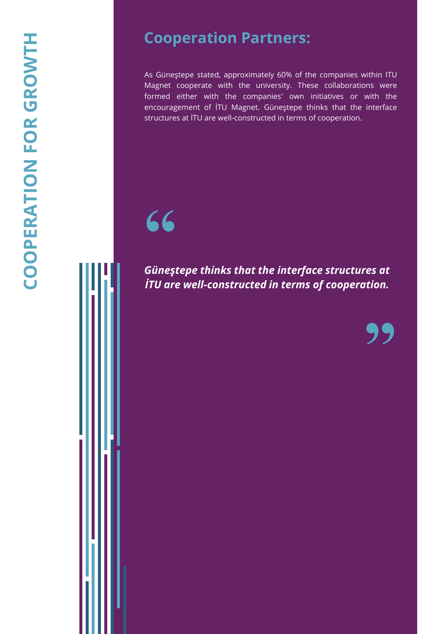As Güneştepe stated, approximately 60% of the companies within ITU Magnet cooperate with the university. These collaborations were formed either with the companies' own initiatives or with the encouragement of İTU Magnet. Güneştepe thinks that the interface structures at İTU are well-constructed in terms of cooperation.



*Güneştepe thinks that the interface structures at İTU are well-constructed in terms of cooperation.*

**"**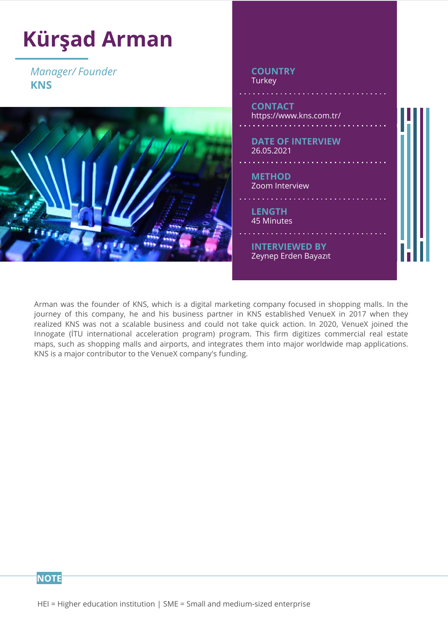

Arman was the founder of KNS, which is a digital marketing company focused in shopping malls. In the journey of this company, he and his business partner in KNS established VenueX in 2017 when they realized KNS was not a scalable business and could not take quick action. In 2020, VenueX joined the Innogate (İTU international acceleration program) program. This firm digitizes commercial real estate maps, such as shopping malls and airports, and integrates them into major worldwide map applications. KNS is a major contributor to the VenueX company's funding.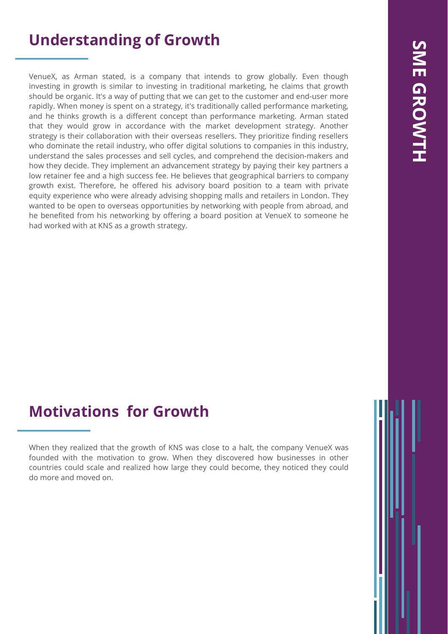## **Understanding of Growth**

VenueX, as Arman stated, is a company that intends to grow globally. Even though investing in growth is similar to investing in traditional marketing, he claims that growth should be organic. It's a way of putting that we can get to the customer and end-user more rapidly. When money is spent on a strategy, it's traditionally called performance marketing, and he thinks growth is a different concept than performance marketing. Arman stated that they would grow in accordance with the market development strategy. Another strategy is their collaboration with their overseas resellers. They prioritize finding resellers who dominate the retail industry, who offer digital solutions to companies in this industry, understand the sales processes and sell cycles, and comprehend the decision-makers and how they decide. They implement an advancement strategy by paying their key partners a low retainer fee and a high success fee. He believes that geographical barriers to company growth exist. Therefore, he offered his advisory board position to a team with private equity experience who were already advising shopping malls and retailers in London. They wanted to be open to overseas opportunities by networking with people from abroad, and he benefited from his networking by offering a board position at VenueX to someone he had worked with at KNS as a growth strategy.

## **Motivations for Growth**

When they realized that the growth of KNS was close to a halt, the company VenueX was founded with the motivation to grow. When they discovered how businesses in other countries could scale and realized how large they could become, they noticed they could do more and moved on.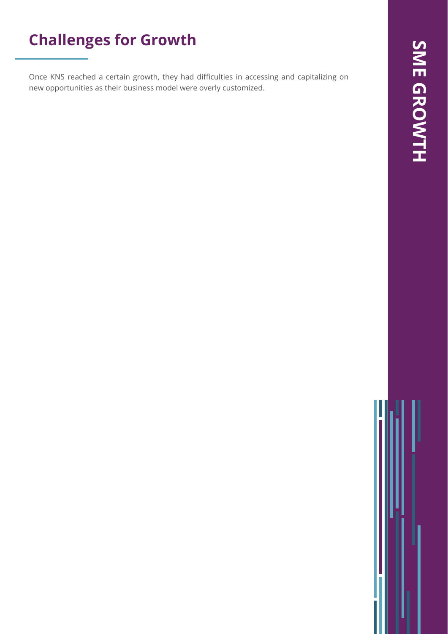## **Challenges for Growth**

Once KNS reached a certain growth, they had difficulties in accessing and capitalizing on new opportunities as their business model were overly customized.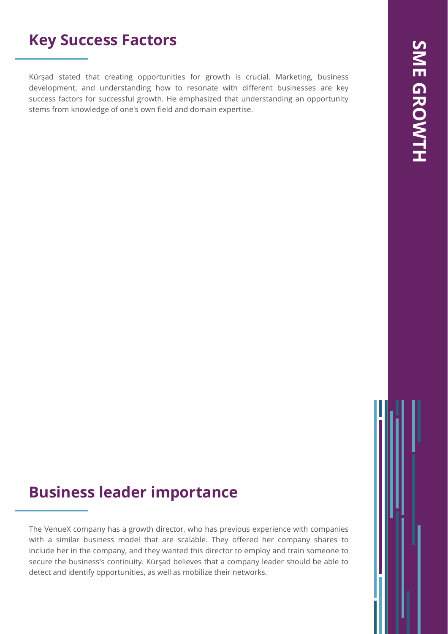## **Key Success Factors**

Kürşad stated that creating opportunities for growth is crucial. Marketing, business development, and understanding how to resonate with different businesses are key success factors for successful growth. He emphasized that understanding an opportunity stems from knowledge of one's own field and domain expertise.

## **Business leader importance**

The VenueX company has a growth director, who has previous experience with companies with a similar business model that are scalable. They offered her company shares to include her in the company, and they wanted this director to employ and train someone to secure the business's continuity. Kürşad believes that a company leader should be able to detect and identify opportunities, as well as mobilize their networks.

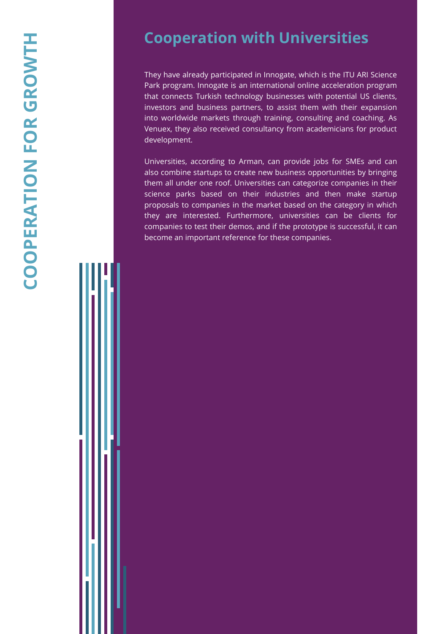## **Cooperation with Universities**

They have already participated in Innogate, which is the ITU ARI Science Park program. Innogate is an international online acceleration program that connects Turkish technology businesses with potential US clients, investors and business partners, to assist them with their expansion into worldwide markets through training, consulting and coaching. As Venuex, they also received consultancy from academicians for product development.

Universities, according to Arman, can provide jobs for SMEs and can also combine startups to create new business opportunities by bringing them all under one roof. Universities can categorize companies in their science parks based on their industries and then make startup proposals to companies in the market based on the category in which they are interested. Furthermore, universities can be clients for companies to test their demos, and if the prototype is successful, it can become an important reference for these companies.

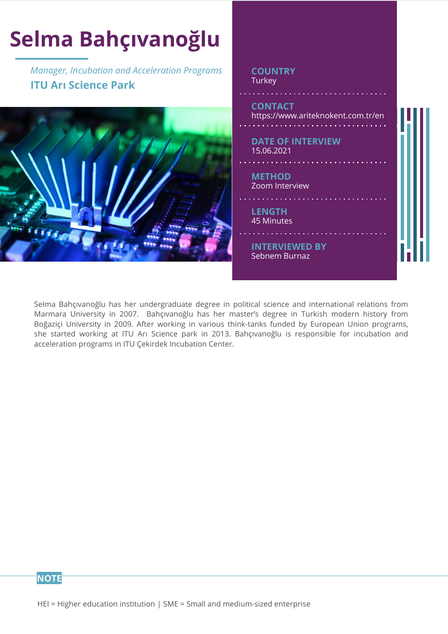

Selma Bahçıvanoğlu has her undergraduate degree in political science and international relations from Marmara University in 2007. Bahçıvanoğlu has her master's degree in Turkish modern history from Boğaziçi University in 2009. After working in various think-tanks funded by European Union programs, she started working at ITU Arı Science park in 2013. Bahçıvanoğlu is responsible for incubation and acceleration programs in ITU Çekirdek Incubation Center.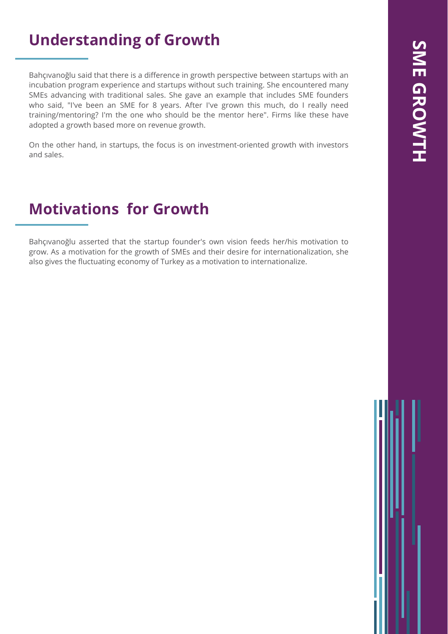## **Understanding of Growth**

Bahçıvanoğlu said that there is a difference in growth perspective between startups with an incubation program experience and startups without such training. She encountered many SMEs advancing with traditional sales. She gave an example that includes SME founders who said, "I've been an SME for 8 years. After I've grown this much, do I really need training/mentoring? I'm the one who should be the mentor here". Firms like these have adopted a growth based more on revenue growth.

On the other hand, in startups, the focus is on investment-oriented growth with investors and sales.

## **Motivations for Growth**

Bahçıvanoğlu asserted that the startup founder's own vision feeds her/his motivation to grow. As a motivation for the growth of SMEs and their desire for internationalization, she also gives the fluctuating economy of Turkey as a motivation to internationalize.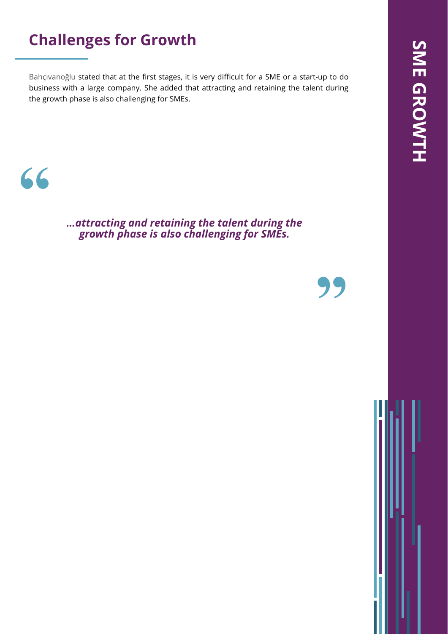## **Challenges for Growth**

Bahçıvanoğlu stated that at the first stages, it is very difficult for a SME or a start-up to do business with a large company. She added that attracting and retaining the talent during the growth phase is also challenging for SMEs.

## **"**

*…attracting and retaining the talent during the growth phase is also challenging for SMEs.*

**"**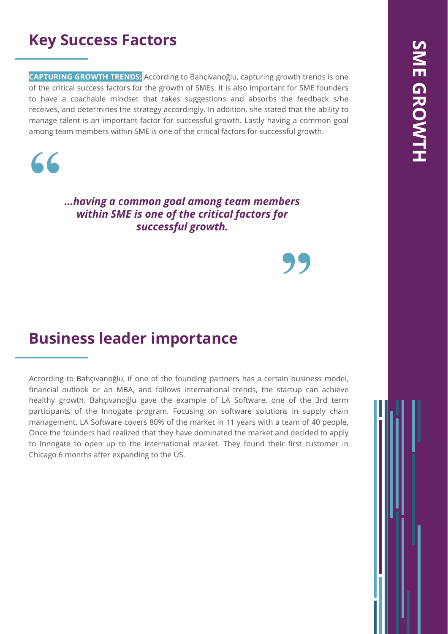## **Key Success Factors**

**CAPTURING GROWTH TRENDS:** According to Bahçıvanoğlu, capturing growth trends is one of the critical success factors for the growth of SMEs. It is also important for SME founders to have a coachable mindset that takes suggestions and absorbs the feedback s/he receives, and determines the strategy accordingly. In addition, she stated that the ability to manage talent is an important factor for successful growth. Lastly having a common goal among team members within SME is one of the critical factors for successful growth.



*…having a common goal among team members within SME is one of the critical factors for successful growth.*

**"**

## **Business leader importance**

According to Bahçıvanoğlu, if one of the founding partners has a certain business model, financial outlook or an MBA, and follows international trends, the startup can achieve healthy growth. Bahçıvanoğlu gave the example of LA Software, one of the 3rd term participants of the Innogate program. Focusing on software solutions in supply chain management, LA Software covers 80% of the market in 11 years with a team of 40 people. Once the founders had realized that they have dominated the market and decided to apply to Innogate to open up to the international market. They found their first customer in Chicago 6 months after expanding to the US.